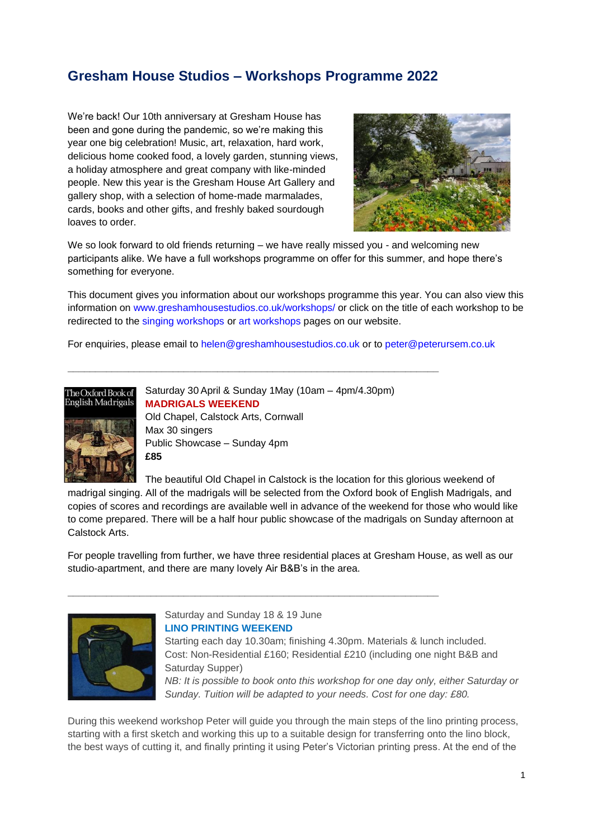# **Gresham House Studios – Workshops Programme 2022**

We're back! Our 10th anniversary at Gresham House has been and gone during the pandemic, so we're making this year one big celebration! Music, art, relaxation, hard work, delicious home cooked food, a lovely garden, stunning views, a holiday atmosphere and great company with like-minded people. New this year is the Gresham House Art Gallery and gallery shop, with a selection of home-made marmalades, cards, books and other gifts, and freshly baked sourdough loaves to order.



We so look forward to old friends returning – we have really missed you - and welcoming new participants alike. We have a full workshops programme on offer for this summer, and hope there's something for everyone.

This document gives you information about our workshops programme this year. You can also view this information on [www.greshamhousestudios.co.uk/workshops/](http://www.greshamhousestudios.co.uk/workshops/) or click on the title of each workshop to be redirected to the [singing workshops](https://greshamhousestudios.co.uk/singing-workshops/) or [art workshops](https://greshamhousestudios.co.uk/art-workshops/) pages on our website.

For enquiries, please email to [helen@greshamhousestudios.co.uk](mailto:helen@greshamhousestudios.co.uk) or to [peter@peterursem.co.uk](mailto:peter@peterursem.co.uk)



Saturday 30 April & Sunday 1May (10am – 4pm/4.30pm) **[MADRIGALS WEEKEND](https://greshamhousestudios.co.uk/singing-workshops/)** Old Chapel, Calstock Arts, Cornwall Max 30 singers Public Showcase – Sunday 4pm **£85**

**\_\_\_\_\_\_\_\_\_\_\_\_\_\_\_\_\_\_\_\_\_\_\_\_\_\_\_\_\_\_\_\_\_\_\_\_\_\_\_\_\_\_\_\_\_\_\_\_\_\_\_\_\_\_\_\_\_\_\_\_\_\_\_\_\_\_\_**

The beautiful Old Chapel in Calstock is the location for this glorious weekend of madrigal singing. All of the madrigals will be selected from the Oxford book of English Madrigals, and copies of scores and recordings are available well in advance of the weekend for those who would like to come prepared. There will be a half hour public showcase of the madrigals on Sunday afternoon at Calstock Arts.

For people travelling from further, we have three residential places at Gresham House, as well as our studio-apartment, and there are many lovely Air B&B's in the area.



Saturday and Sunday 18 & 19 June **LINO PRINTING [WEEKEND](https://greshamhousestudios.co.uk/art-workshops/)**

**\_\_\_\_\_\_\_\_\_\_\_\_\_\_\_\_\_\_\_\_\_\_\_\_\_\_\_\_\_\_\_\_\_\_\_\_\_\_\_\_\_\_\_\_\_\_\_\_\_\_\_\_\_\_\_\_\_\_\_\_\_\_\_\_\_\_\_**

Starting each day 10.30am; finishing 4.30pm. Materials & lunch included. Cost: Non-Residential £160; Residential £210 (including one night B&B and Saturday Supper) *NB: It is possible to book onto this workshop for one day only, either Saturday or Sunday. Tuition will be adapted to your needs. Cost for one day: £80.*

During this weekend workshop Peter will guide you through the main steps of the lino printing process, starting with a first sketch and working this up to a suitable design for transferring onto the lino block, the best ways of cutting it, and finally printing it using Peter's Victorian printing press. At the end of the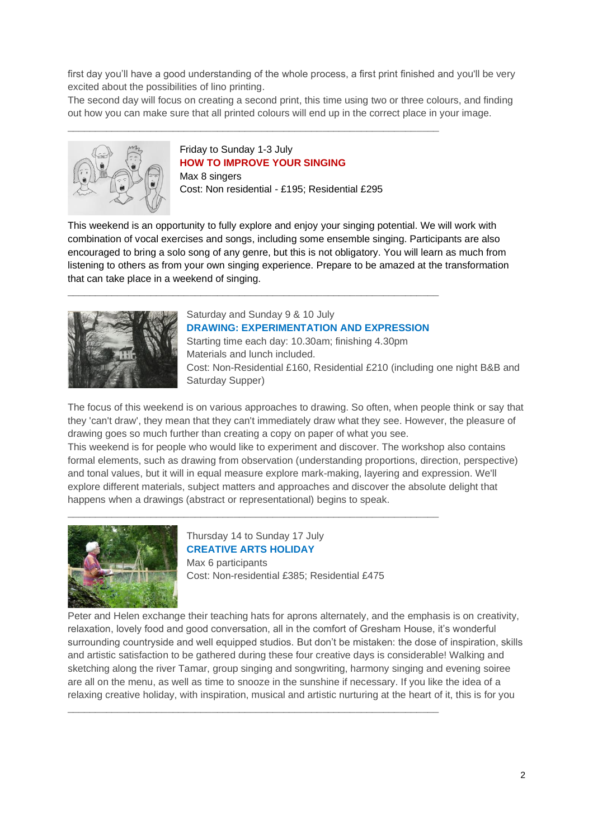first day you'll have a good understanding of the whole process, a first print finished and you'll be very excited about the possibilities of lino printing.

The second day will focus on creating a second print, this time using two or three colours, and finding out how you can make sure that all printed colours will end up in the correct place in your image.



Friday to Sunday 1-3 July **[HOW TO IMPROVE YOUR SINGING](https://greshamhousestudios.co.uk/singing-workshops/)** Max 8 singers Cost: Non residential - £195; Residential £295

**\_\_\_\_\_\_\_\_\_\_\_\_\_\_\_\_\_\_\_\_\_\_\_\_\_\_\_\_\_\_\_\_\_\_\_\_\_\_\_\_\_\_\_\_\_\_\_\_\_\_\_\_\_\_\_\_\_\_\_\_\_\_\_\_\_\_\_**

This weekend is an opportunity to fully explore and enjoy your singing potential. We will work with combination of vocal exercises and songs, including some ensemble singing. Participants are also encouraged to bring a solo song of any genre, but this is not obligatory. You will learn as much from listening to others as from your own singing experience. Prepare to be amazed at the transformation that can take place in a weekend of singing.



# Saturday and Sunday 9 & 10 July

**\_\_\_\_\_\_\_\_\_\_\_\_\_\_\_\_\_\_\_\_\_\_\_\_\_\_\_\_\_\_\_\_\_\_\_\_\_\_\_\_\_\_\_\_\_\_\_\_\_\_\_\_\_\_\_\_\_\_\_\_\_\_\_\_\_\_\_**

**DRAWING: [EXPERIMENTATION](https://greshamhousestudios.co.uk/art-workshops/) AND EXPRESSION** Starting time each day: 10.30am; finishing 4.30pm Materials and lunch included. Cost: Non-Residential £160, Residential £210 (including one night B&B and Saturday Supper)

The focus of this weekend is on various approaches to drawing. So often, when people think or say that they 'can't draw', they mean that they can't immediately draw what they see. However, the pleasure of drawing goes so much further than creating a copy on paper of what you see. This weekend is for people who would like to experiment and discover. The workshop also contains formal elements, such as drawing from observation (understanding proportions, direction, perspective) and tonal values, but it will in equal measure explore mark-making, layering and expression. We'll explore different materials, subject matters and approaches and discover the absolute delight that happens when a drawings (abstract or representational) begins to speak.



Thursday 14 to Sunday 17 July **[CREATIVE ARTS HOLIDAY](https://greshamhousestudios.co.uk/art-workshops/)** Max 6 participants Cost: Non-residential £385; Residential £475

**\_\_\_\_\_\_\_\_\_\_\_\_\_\_\_\_\_\_\_\_\_\_\_\_\_\_\_\_\_\_\_\_\_\_\_\_\_\_\_\_\_\_\_\_\_\_\_\_\_\_\_\_\_\_\_\_\_\_\_\_\_\_\_\_\_\_\_**

**\_\_\_\_\_\_\_\_\_\_\_\_\_\_\_\_\_\_\_\_\_\_\_\_\_\_\_\_\_\_\_\_\_\_\_\_\_\_\_\_\_\_\_\_\_\_\_\_\_\_\_\_\_\_\_\_\_\_\_\_\_\_\_\_\_\_\_**

Peter and Helen exchange their teaching hats for aprons alternately, and the emphasis is on creativity, relaxation, lovely food and good conversation, all in the comfort of Gresham House, it's wonderful surrounding countryside and well equipped studios. But don't be mistaken: the dose of inspiration, skills and artistic satisfaction to be gathered during these four creative days is considerable! Walking and sketching along the river Tamar, group singing and songwriting, harmony singing and evening soiree are all on the menu, as well as time to snooze in the sunshine if necessary. If you like the idea of a relaxing creative holiday, with inspiration, musical and artistic nurturing at the heart of it, this is for you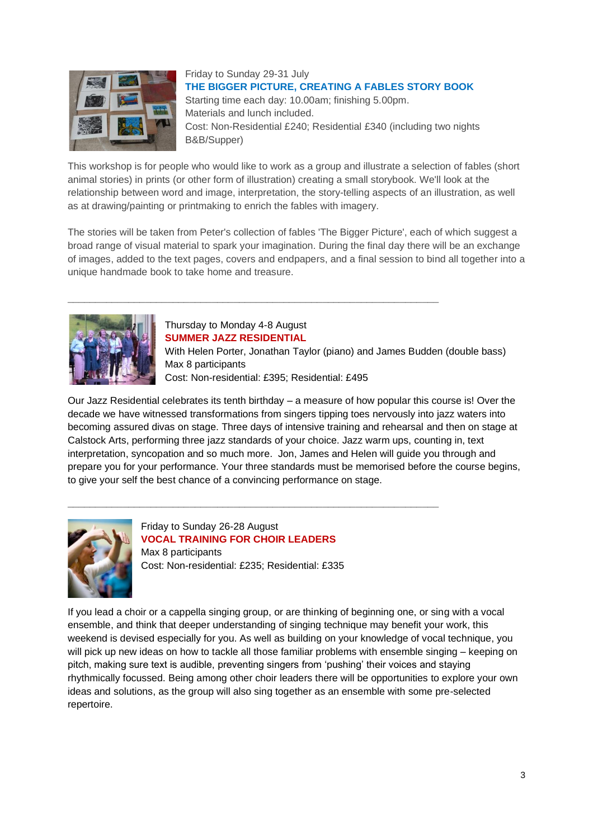

Friday to Sunday 29-31 July **THE BIGGER PICTURE, [CREATING](https://greshamhousestudios.co.uk/art-workshops/) A FABLES STORY BOOK** Starting time each day: 10.00am; finishing 5.00pm. Materials and lunch included. Cost: Non-Residential £240; Residential £340 (including two nights B&B/Supper)

This workshop is for people who would like to work as a group and illustrate a selection of fables (short animal stories) in prints (or other form of illustration) creating a small storybook. We'll look at the relationship between word and image, interpretation, the story-telling aspects of an illustration, as well as at drawing/painting or printmaking to enrich the fables with imagery.

The stories will be taken from Peter's collection of fables 'The Bigger Picture', each of which suggest a broad range of visual material to spark your imagination. During the final day there will be an exchange of images, added to the text pages, covers and endpapers, and a final session to bind all together into a unique handmade book to take home and treasure.



# Thursday to Monday 4-8 August **[SUMMER JAZZ RESIDENTIAL](https://greshamhousestudios.co.uk/singing-workshops/)**

**\_\_\_\_\_\_\_\_\_\_\_\_\_\_\_\_\_\_\_\_\_\_\_\_\_\_\_\_\_\_\_\_\_\_\_\_\_\_\_\_\_\_\_\_\_\_\_\_\_\_\_\_\_\_\_\_\_\_\_\_\_\_\_\_\_\_\_**

With Helen Porter, Jonathan Taylor (piano) and James Budden (double bass) Max 8 participants Cost: Non-residential: £395; Residential: £495

Our Jazz Residential celebrates its tenth birthday – a measure of how popular this course is! Over the decade we have witnessed transformations from singers tipping toes nervously into jazz waters into becoming assured divas on stage. Three days of intensive training and rehearsal and then on stage at Calstock Arts, performing three jazz standards of your choice. Jazz warm ups, counting in, text interpretation, syncopation and so much more. Jon, James and Helen will guide you through and prepare you for your performance. Your three standards must be memorised before the course begins, to give your self the best chance of a convincing performance on stage.



Friday to Sunday 26-28 August **[VOCAL TRAINING FOR CHOIR LEADERS](https://greshamhousestudios.co.uk/singing-workshops/)** Max 8 participants Cost: Non-residential: £235; Residential: £335

**\_\_\_\_\_\_\_\_\_\_\_\_\_\_\_\_\_\_\_\_\_\_\_\_\_\_\_\_\_\_\_\_\_\_\_\_\_\_\_\_\_\_\_\_\_\_\_\_\_\_\_\_\_\_\_\_\_\_\_\_\_\_\_\_\_\_\_**

If you lead a choir or a cappella singing group, or are thinking of beginning one, or sing with a vocal ensemble, and think that deeper understanding of singing technique may benefit your work, this weekend is devised especially for you. As well as building on your knowledge of vocal technique, you will pick up new ideas on how to tackle all those familiar problems with ensemble singing – keeping on pitch, making sure text is audible, preventing singers from 'pushing' their voices and staying rhythmically focussed. Being among other choir leaders there will be opportunities to explore your own ideas and solutions, as the group will also sing together as an ensemble with some pre-selected repertoire.